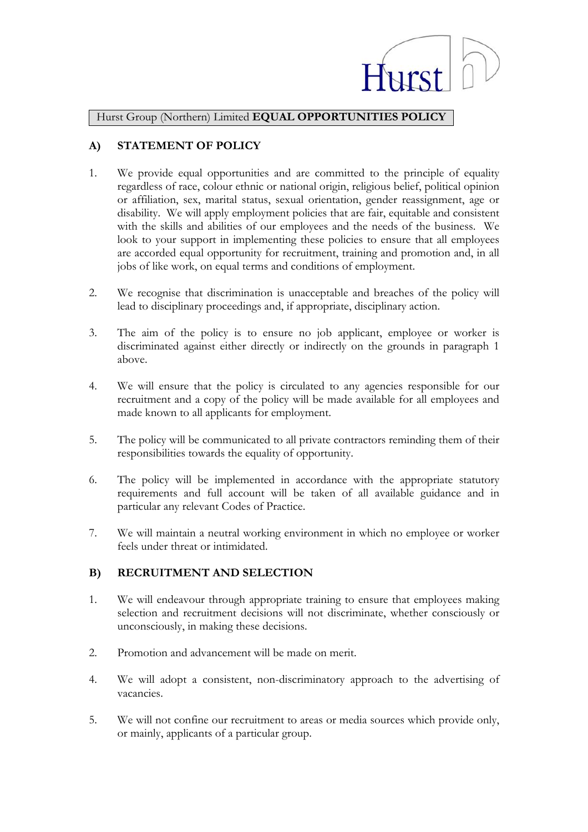

Hurst Group (Northern) Limited **EQUAL OPPORTUNITIES POLICY**

## **A) STATEMENT OF POLICY**

- 1. We provide equal opportunities and are committed to the principle of equality regardless of race, colour ethnic or national origin, religious belief, political opinion or affiliation, sex, marital status, sexual orientation, gender reassignment, age or disability. We will apply employment policies that are fair, equitable and consistent with the skills and abilities of our employees and the needs of the business. We look to your support in implementing these policies to ensure that all employees are accorded equal opportunity for recruitment, training and promotion and, in all jobs of like work, on equal terms and conditions of employment.
- 2. We recognise that discrimination is unacceptable and breaches of the policy will lead to disciplinary proceedings and, if appropriate, disciplinary action.
- 3. The aim of the policy is to ensure no job applicant, employee or worker is discriminated against either directly or indirectly on the grounds in paragraph 1 above.
- 4. We will ensure that the policy is circulated to any agencies responsible for our recruitment and a copy of the policy will be made available for all employees and made known to all applicants for employment.
- 5. The policy will be communicated to all private contractors reminding them of their responsibilities towards the equality of opportunity.
- 6. The policy will be implemented in accordance with the appropriate statutory requirements and full account will be taken of all available guidance and in particular any relevant Codes of Practice.
- 7. We will maintain a neutral working environment in which no employee or worker feels under threat or intimidated.

## **B) RECRUITMENT AND SELECTION**

- 1. We will endeavour through appropriate training to ensure that employees making selection and recruitment decisions will not discriminate, whether consciously or unconsciously, in making these decisions.
- 2. Promotion and advancement will be made on merit.
- 4. We will adopt a consistent, non-discriminatory approach to the advertising of vacancies.
- 5. We will not confine our recruitment to areas or media sources which provide only, or mainly, applicants of a particular group.